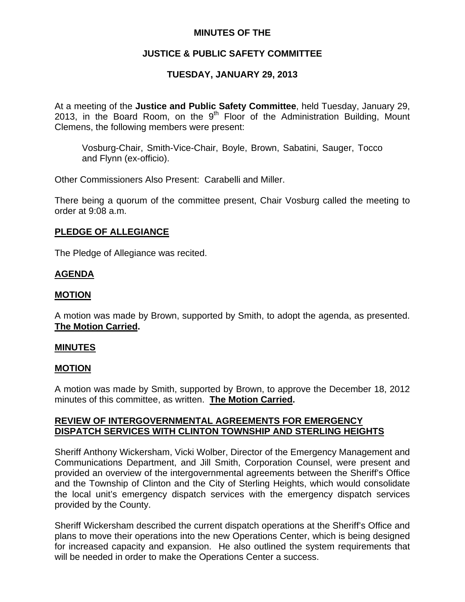# **MINUTES OF THE**

# **JUSTICE & PUBLIC SAFETY COMMITTEE**

# **TUESDAY, JANUARY 29, 2013**

At a meeting of the **Justice and Public Safety Committee**, held Tuesday, January 29, 2013, in the Board Room, on the  $9<sup>th</sup>$  Floor of the Administration Building, Mount Clemens, the following members were present:

Vosburg-Chair, Smith-Vice-Chair, Boyle, Brown, Sabatini, Sauger, Tocco and Flynn (ex-officio).

Other Commissioners Also Present: Carabelli and Miller.

There being a quorum of the committee present, Chair Vosburg called the meeting to order at 9:08 a.m.

# **PLEDGE OF ALLEGIANCE**

The Pledge of Allegiance was recited.

# **AGENDA**

# **MOTION**

A motion was made by Brown, supported by Smith, to adopt the agenda, as presented. **The Motion Carried.** 

## **MINUTES**

## **MOTION**

A motion was made by Smith, supported by Brown, to approve the December 18, 2012 minutes of this committee, as written. **The Motion Carried.** 

# **REVIEW OF INTERGOVERNMENTAL AGREEMENTS FOR EMERGENCY DISPATCH SERVICES WITH CLINTON TOWNSHIP AND STERLING HEIGHTS**

Sheriff Anthony Wickersham, Vicki Wolber, Director of the Emergency Management and Communications Department, and Jill Smith, Corporation Counsel, were present and provided an overview of the intergovernmental agreements between the Sheriff's Office and the Township of Clinton and the City of Sterling Heights, which would consolidate the local unit's emergency dispatch services with the emergency dispatch services provided by the County.

Sheriff Wickersham described the current dispatch operations at the Sheriff's Office and plans to move their operations into the new Operations Center, which is being designed for increased capacity and expansion. He also outlined the system requirements that will be needed in order to make the Operations Center a success.